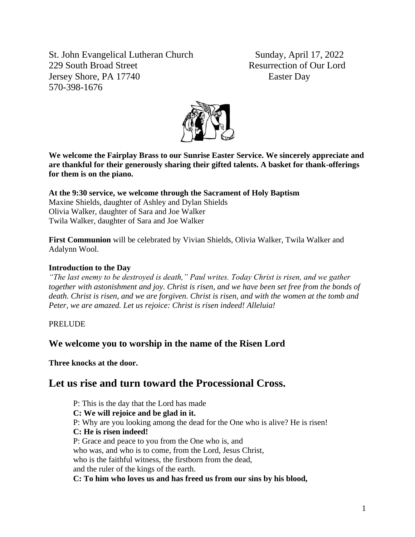St. John Evangelical Lutheran Church Sunday, April 17, 2022 229 South Broad Street Resurrection of Our Lord Jersey Shore, PA 17740 Easter Day 570-398-1676



**We welcome the Fairplay Brass to our Sunrise Easter Service. We sincerely appreciate and are thankful for their generously sharing their gifted talents. A basket for thank-offerings for them is on the piano.**

**At the 9:30 service, we welcome through the Sacrament of Holy Baptism**  Maxine Shields, daughter of Ashley and Dylan Shields Olivia Walker, daughter of Sara and Joe Walker Twila Walker, daughter of Sara and Joe Walker

**First Communion** will be celebrated by Vivian Shields, Olivia Walker, Twila Walker and Adalynn Wool.

## **Introduction to the Day**

*"The last enemy to be destroyed is death," Paul writes. Today Christ is risen, and we gather together with astonishment and joy. Christ is risen, and we have been set free from the bonds of death. Christ is risen, and we are forgiven. Christ is risen, and with the women at the tomb and Peter, we are amazed. Let us rejoice: Christ is risen indeed! Alleluia!*

PRELUDE

## **We welcome you to worship in the name of the Risen Lord**

**Three knocks at the door.**

# **Let us rise and turn toward the Processional Cross.**

P: This is the day that the Lord has made **C: We will rejoice and be glad in it.** P: Why are you looking among the dead for the One who is alive? He is risen! **C: He is risen indeed!** P: Grace and peace to you from the One who is, and who was, and who is to come, from the Lord, Jesus Christ, who is the faithful witness, the firstborn from the dead. and the ruler of the kings of the earth. **C: To him who loves us and has freed us from our sins by his blood,**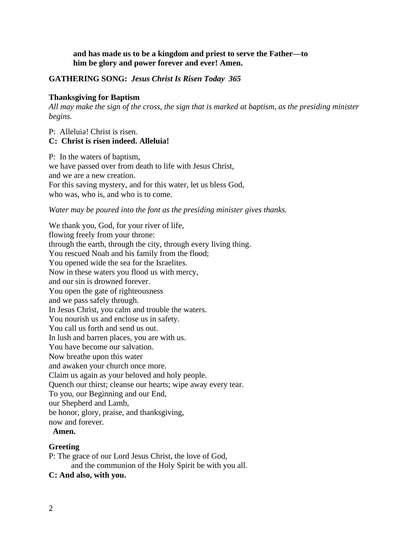## **and has made us to be a kingdom and priest to serve the Father—to him be glory and power forever and ever! Amen.**

## **GATHERING SONG:** *Jesus Christ Is Risen Today 365*

### **Thanksgiving for Baptism**

*All may make the sign of the cross, the sign that is marked at baptism, as the presiding minister begins.*

## P: Alleluia! Christ is risen.

## **C: Christ is risen indeed. Alleluia!**

P: In the waters of baptism, we have passed over from death to life with Jesus Christ, and we are a new creation. For this saving mystery, and for this water, let us bless God, who was, who is, and who is to come.

### *Water may be poured into the font as the presiding minister gives thanks.*

We thank you, God, for your river of life, flowing freely from your throne: through the earth, through the city, through every living thing. You rescued Noah and his family from the flood; You opened wide the sea for the Israelites. Now in these waters you flood us with mercy, and our sin is drowned forever. You open the gate of righteousness and we pass safely through. In Jesus Christ, you calm and trouble the waters. You nourish us and enclose us in safety. You call us forth and send us out. In lush and barren places, you are with us. You have become our salvation. Now breathe upon this water and awaken your church once more. Claim us again as your beloved and holy people. Quench our thirst; cleanse our hearts; wipe away every tear. To you, our Beginning and our End, our Shepherd and Lamb, be honor, glory, praise, and thanksgiving, now and forever.

### **Amen.**

## **Greeting**

- P: The grace of our Lord Jesus Christ, the love of God, and the communion of the Holy Spirit be with you all.
- **C: And also, with you.**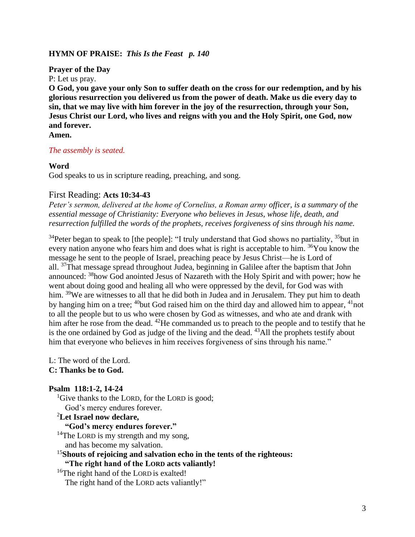## **HYMN OF PRAISE:** *This Is the Feast p. 140*

**Prayer of the Day**

P: Let us pray.

**O God, you gave your only Son to suffer death on the cross for our redemption, and by his glorious resurrection you delivered us from the power of death. Make us die every day to sin, that we may live with him forever in the joy of the resurrection, through your Son, Jesus Christ our Lord, who lives and reigns with you and the Holy Spirit, one God, now and forever.**

**Amen.**

### *The assembly is seated.*

### **Word**

God speaks to us in scripture reading, preaching, and song.

## First Reading: **Acts 10:34-43**

*Peter's sermon, delivered at the home of Cornelius, a Roman army officer, is a summary of the essential message of Christianity: Everyone who believes in Jesus, whose life, death, and resurrection fulfilled the words of the prophets, receives forgiveness of sins through his name.*

 $34$ Peter began to speak to [the people]: "I truly understand that God shows no partiality,  $35$ but in every nation anyone who fears him and does what is right is acceptable to him. <sup>36</sup>You know the message he sent to the people of Israel, preaching peace by Jesus Christ—he is Lord of all. <sup>37</sup>That message spread throughout Judea, beginning in Galilee after the baptism that John announced: <sup>38</sup>how God anointed Jesus of Nazareth with the Holy Spirit and with power; how he went about doing good and healing all who were oppressed by the devil, for God was with him. <sup>39</sup>We are witnesses to all that he did both in Judea and in Jerusalem. They put him to death by hanging him on a tree; <sup>40</sup>but God raised him on the third day and allowed him to appear, <sup>41</sup>not to all the people but to us who were chosen by God as witnesses, and who ate and drank with him after he rose from the dead. <sup>42</sup>He commanded us to preach to the people and to testify that he is the one ordained by God as judge of the living and the dead.  $43$ All the prophets testify about him that everyone who believes in him receives forgiveness of sins through his name."

L: The word of the Lord.

## **C: Thanks be to God.**

### **Psalm 118:1-2, 14-24**

<sup>1</sup>Give thanks to the LORD, for the LORD is good;

God's mercy endures forever.

### <sup>2</sup>**Let Israel now declare,**

**"God's mercy endures forever."**

<sup>14</sup>The LORD is my strength and my song,

and has become my salvation.

<sup>15</sup>**Shouts of rejoicing and salvation echo in the tents of the righteous: "The right hand of the LORD acts valiantly!**

<sup>16</sup>The right hand of the LORD is exalted! The right hand of the LORD acts valiantly!"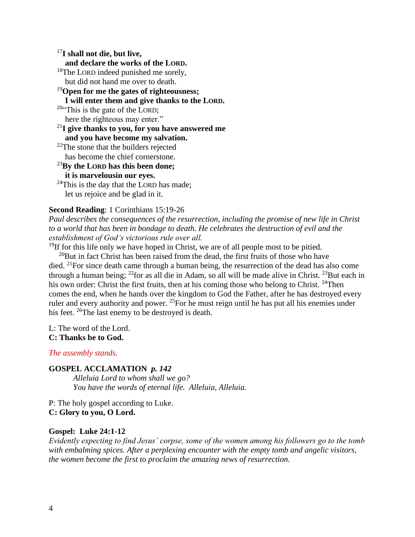<sup>17</sup>**I shall not die, but live, and declare the works of the LORD.** <sup>18</sup>The LORD indeed punished me sorely, but did not hand me over to death. <sup>19</sup>**Open for me the gates of righteousness; I will enter them and give thanks to the LORD.**  $20$ "This is the gate of the LORD; here the righteous may enter." <sup>21</sup>**I give thanks to you, for you have answered me and you have become my salvation.**  $22$ The stone that the builders rejected has become the chief cornerstone. <sup>23</sup>**By the LORD has this been done; it is marvelousin our eyes.**  $24$ This is the day that the LORD has made; let us rejoice and be glad in it.

## **Second Reading**: 1 Corinthians 15:19-26

*Paul describes the consequences of the resurrection, including the promise of new life in Christ to a world that has been in bondage to death. He celebrates the destruction of evil and the establishment of God's victorious rule over all.*

 $19$ If for this life only we have hoped in Christ, we are of all people most to be pitied.

 $^{20}$ But in fact Christ has been raised from the dead, the first fruits of those who have died. <sup>21</sup>For since death came through a human being, the resurrection of the dead has also come through a human being;  $^{22}$  for as all die in Adam, so all will be made alive in Christ.  $^{23}$ But each in his own order: Christ the first fruits, then at his coming those who belong to Christ. <sup>24</sup>Then comes the end, when he hands over the kingdom to God the Father, after he has destroyed every ruler and every authority and power.  $^{25}$  For he must reign until he has put all his enemies under his feet. <sup>26</sup>The last enemy to be destroyed is death.

L: The word of the Lord. **C: Thanks be to God.**

### *The assembly stands.*

### **GOSPEL ACCLAMATION** *p. 142*

*Alleluia Lord to whom shall we go? You have the words of eternal life. Alleluia, Alleluia.*

P: The holy gospel according to Luke. **C: Glory to you, O Lord.**

#### **Gospel: Luke 24:1-12**

*Evidently expecting to find Jesus' corpse, some of the women among his followers go to the tomb with embalming spices. After a perplexing encounter with the empty tomb and angelic visitors, the women become the first to proclaim the amazing news of resurrection.*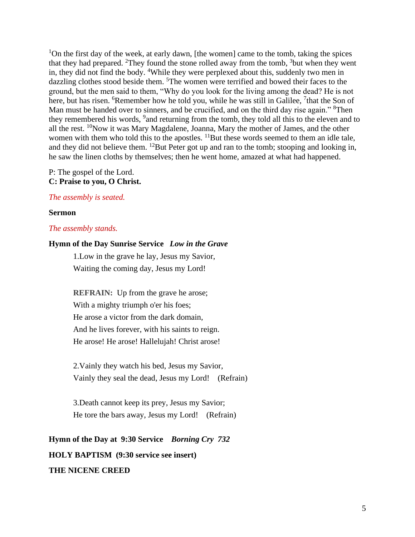<sup>1</sup>On the first day of the week, at early dawn, [the women] came to the tomb, taking the spices that they had prepared. <sup>2</sup>They found the stone rolled away from the tomb,  $3$  but when they went in, they did not find the body. <sup>4</sup>While they were perplexed about this, suddenly two men in dazzling clothes stood beside them. <sup>5</sup>The women were terrified and bowed their faces to the ground, but the men said to them, "Why do you look for the living among the dead? He is not here, but has risen. <sup>6</sup>Remember how he told you, while he was still in Galilee, <sup>7</sup>that the Son of Man must be handed over to sinners, and be crucified, and on the third day rise again." <sup>8</sup>Then they remembered his words, <sup>9</sup> and returning from the tomb, they told all this to the eleven and to all the rest. <sup>10</sup>Now it was Mary Magdalene, Joanna, Mary the mother of James, and the other women with them who told this to the apostles.  $^{11}$ But these words seemed to them an idle tale, and they did not believe them. <sup>12</sup>But Peter got up and ran to the tomb; stooping and looking in, he saw the linen cloths by themselves; then he went home, amazed at what had happened.

P: The gospel of the Lord. **C: Praise to you, O Christ.**

### *The assembly is seated.*

#### **Sermon**

#### *The assembly stands.*

## **Hymn of the Day Sunrise Service** *Low in the Grave*

1.Low in the grave he lay, Jesus my Savior, Waiting the coming day, Jesus my Lord!

**REFRAIN:** Up from the grave he arose; With a mighty triumph o'er his foes; He arose a victor from the dark domain, And he lives forever, with his saints to reign. He arose! He arose! Hallelujah! Christ arose!

2.Vainly they watch his bed, Jesus my Savior, Vainly they seal the dead, Jesus my Lord! (Refrain)

3.Death cannot keep its prey, Jesus my Savior; He tore the bars away, Jesus my Lord! (Refrain)

**Hymn of the Day at 9:30 Service** *Borning Cry 732* **HOLY BAPTISM (9:30 service see insert) THE NICENE CREED**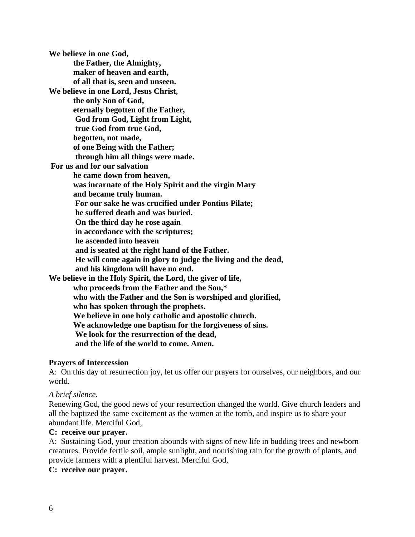**We believe in one God, the Father, the Almighty, maker of heaven and earth, of all that is, seen and unseen. We believe in one Lord, Jesus Christ, the only Son of God, eternally begotten of the Father, God from God, Light from Light, true God from true God, begotten, not made, of one Being with the Father; through him all things were made. For us and for our salvation he came down from heaven, was incarnate of the Holy Spirit and the virgin Mary and became truly human. For our sake he was crucified under Pontius Pilate; he suffered death and was buried. On the third day he rose again in accordance with the scriptures; he ascended into heaven and is seated at the right hand of the Father. He will come again in glory to judge the living and the dead, and his kingdom will have no end. We believe in the Holy Spirit, the Lord, the giver of life, who proceeds from the Father and the Son,\* who with the Father and the Son is worshiped and glorified, who has spoken through the prophets. We believe in one holy catholic and apostolic church. We acknowledge one baptism for the forgiveness of sins. We look for the resurrection of the dead, and the life of the world to come. Amen.** 

## **Prayers of Intercession**

A: On this day of resurrection joy, let us offer our prayers for ourselves, our neighbors, and our world.

## *A brief silence.*

Renewing God, the good news of your resurrection changed the world. Give church leaders and all the baptized the same excitement as the women at the tomb, and inspire us to share your abundant life. Merciful God,

## **C: receive our prayer.**

A: Sustaining God, your creation abounds with signs of new life in budding trees and newborn creatures. Provide fertile soil, ample sunlight, and nourishing rain for the growth of plants, and provide farmers with a plentiful harvest. Merciful God,

**C: receive our prayer.**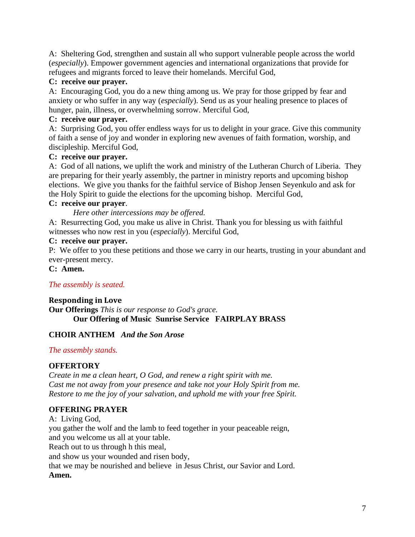A: Sheltering God, strengthen and sustain all who support vulnerable people across the world (*especially*). Empower government agencies and international organizations that provide for refugees and migrants forced to leave their homelands. Merciful God,

## **C: receive our prayer.**

A: Encouraging God, you do a new thing among us. We pray for those gripped by fear and anxiety or who suffer in any way (*especially*). Send us as your healing presence to places of hunger, pain, illness, or overwhelming sorrow. Merciful God,

## **C: receive our prayer.**

A: Surprising God, you offer endless ways for us to delight in your grace. Give this community of faith a sense of joy and wonder in exploring new avenues of faith formation, worship, and discipleship. Merciful God,

## **C: receive our prayer.**

A: God of all nations, we uplift the work and ministry of the Lutheran Church of Liberia. They are preparing for their yearly assembly, the partner in ministry reports and upcoming bishop elections. We give you thanks for the faithful service of Bishop Jensen Seyenkulo and ask for the Holy Spirit to guide the elections for the upcoming bishop. Merciful God,

## **C: receive our prayer**.

*Here other intercessions may be offered.*

A: Resurrecting God, you make us alive in Christ. Thank you for blessing us with faithful witnesses who now rest in you (*especially*). Merciful God,

## **C: receive our prayer.**

P: We offer to you these petitions and those we carry in our hearts, trusting in your abundant and ever-present mercy.

**C: Amen.**

## *The assembly is seated.*

### **Responding in Love Our Offerings** *This is our response to God's grace.* **Our Offering of Music Sunrise Service FAIRPLAY BRASS**

## **CHOIR ANTHEM** *And the Son Arose*

## *The assembly stands.*

## **OFFERTORY**

*Create in me a clean heart, O God, and renew a right spirit with me. Cast me not away from your presence and take not your Holy Spirit from me. Restore to me the joy of your salvation, and uphold me with your free Spirit.*

## **OFFERING PRAYER**

A: Living God, you gather the wolf and the lamb to feed together in your peaceable reign, and you welcome us all at your table. Reach out to us through h this meal, and show us your wounded and risen body, that we may be nourished and believe in Jesus Christ, our Savior and Lord. **Amen.**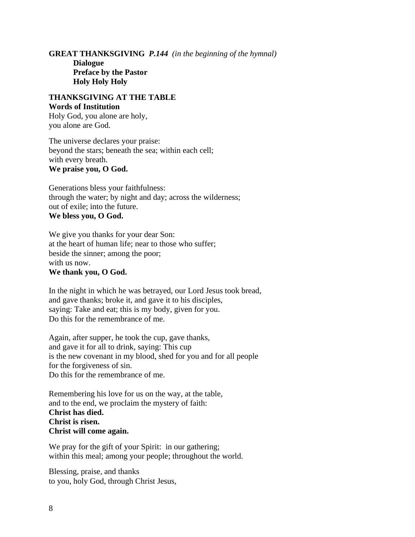**GREAT THANKSGIVING** *P.144 (in the beginning of the hymnal)* **Dialogue Preface by the Pastor Holy Holy Holy**

## **THANKSGIVING AT THE TABLE Words of Institution**

Holy God, you alone are holy, you alone are God.

The universe declares your praise: beyond the stars; beneath the sea; within each cell; with every breath. **We praise you, O God.**

Generations bless your faithfulness: through the water; by night and day; across the wilderness; out of exile; into the future. **We bless you, O God.**

We give you thanks for your dear Son: at the heart of human life; near to those who suffer; beside the sinner; among the poor; with us now. **We thank you, O God.**

In the night in which he was betrayed, our Lord Jesus took bread, and gave thanks; broke it, and gave it to his disciples, saying: Take and eat; this is my body, given for you. Do this for the remembrance of me.

Again, after supper, he took the cup, gave thanks, and gave it for all to drink, saying: This cup is the new covenant in my blood, shed for you and for all people for the forgiveness of sin. Do this for the remembrance of me.

Remembering his love for us on the way, at the table, and to the end, we proclaim the mystery of faith: **Christ has died. Christ is risen. Christ will come again.**

We pray for the gift of your Spirit: in our gathering; within this meal; among your people; throughout the world.

Blessing, praise, and thanks to you, holy God, through Christ Jesus,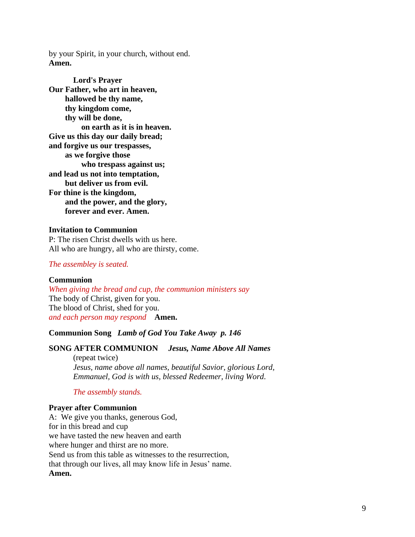by your Spirit, in your church, without end. **Amen.**

**Lord's Prayer Our Father, who art in heaven, hallowed be thy name, thy kingdom come, thy will be done, on earth as it is in heaven. Give us this day our daily bread; and forgive us our trespasses, as we forgive those who trespass against us; and lead us not into temptation, but deliver us from evil. For thine is the kingdom, and the power, and the glory, forever and ever. Amen.**

### **Invitation to Communion**

P: The risen Christ dwells with us here. All who are hungry, all who are thirsty, come.

#### *The assembley is seated.*

#### **Communion**

*When giving the bread and cup, the communion ministers say* The body of Christ, given for you. The blood of Christ, shed for you. *and each person may respond* **Amen.**

## **Communion Song** *Lamb of God You Take Away p. 146*

#### **SONG AFTER COMMUNION** *Jesus, Name Above All Names*

(repeat twice) *Jesus, name above all names, beautiful Savior, glorious Lord, Emmanuel, God is with us, blessed Redeemer, living Word.*

### *The assembly stands.*

#### **Prayer after Communion**

A: We give you thanks, generous God, for in this bread and cup we have tasted the new heaven and earth where hunger and thirst are no more. Send us from this table as witnesses to the resurrection, that through our lives, all may know life in Jesus' name. **Amen.**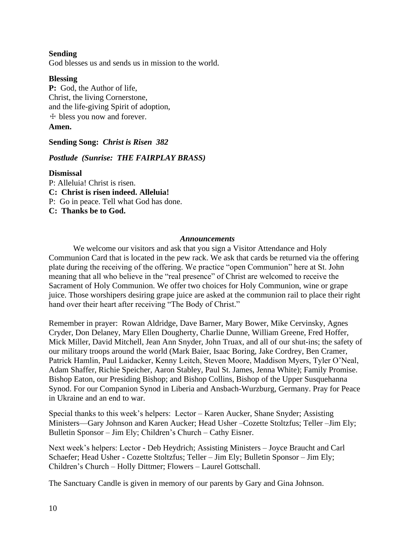## **Sending**

God blesses us and sends us in mission to the world.

### **Blessing**

**P:** God, the Author of life, Christ, the living Cornerstone, and the life-giving Spirit of adoption, ☩ bless you now and forever. **Amen.**

## **Sending Song:** *Christ is Risen 382*

## *Postlude (Sunrise: THE FAIRPLAY BRASS)*

### **Dismissal**

P: Alleluia! Christ is risen.

**C: Christ is risen indeed. Alleluia!**

P: Go in peace. Tell what God has done.

**C: Thanks be to God.**

### *Announcements*

We welcome our visitors and ask that you sign a Visitor Attendance and Holy Communion Card that is located in the pew rack. We ask that cards be returned via the offering plate during the receiving of the offering. We practice "open Communion" here at St. John meaning that all who believe in the "real presence" of Christ are welcomed to receive the Sacrament of Holy Communion. We offer two choices for Holy Communion, wine or grape juice. Those worshipers desiring grape juice are asked at the communion rail to place their right hand over their heart after receiving "The Body of Christ."

Remember in prayer: Rowan Aldridge, Dave Barner, Mary Bower, Mike Cervinsky, Agnes Cryder, Don Delaney, Mary Ellen Dougherty, Charlie Dunne, William Greene, Fred Hoffer, Mick Miller, David Mitchell, Jean Ann Snyder, John Truax, and all of our shut-ins; the safety of our military troops around the world (Mark Baier, Isaac Boring, Jake Cordrey, Ben Cramer, Patrick Hamlin, Paul Laidacker, Kenny Leitch, Steven Moore, Maddison Myers, Tyler O'Neal, Adam Shaffer, Richie Speicher, Aaron Stabley, Paul St. James, Jenna White); Family Promise. Bishop Eaton, our Presiding Bishop; and Bishop Collins, Bishop of the Upper Susquehanna Synod. For our Companion Synod in Liberia and Ansbach-Wurzburg, Germany. Pray for Peace in Ukraine and an end to war.

Special thanks to this week's helpers: Lector – Karen Aucker, Shane Snyder; Assisting Ministers—Gary Johnson and Karen Aucker; Head Usher –Cozette Stoltzfus; Teller –Jim Ely; Bulletin Sponsor – Jim Ely; Children's Church – Cathy Eisner.

Next week's helpers: Lector - Deb Heydrich; Assisting Ministers – Joyce Braucht and Carl Schaefer; Head Usher - Cozette Stoltzfus; Teller – Jim Ely; Bulletin Sponsor – Jim Ely; Children's Church – Holly Dittmer; Flowers – Laurel Gottschall.

The Sanctuary Candle is given in memory of our parents by Gary and Gina Johnson.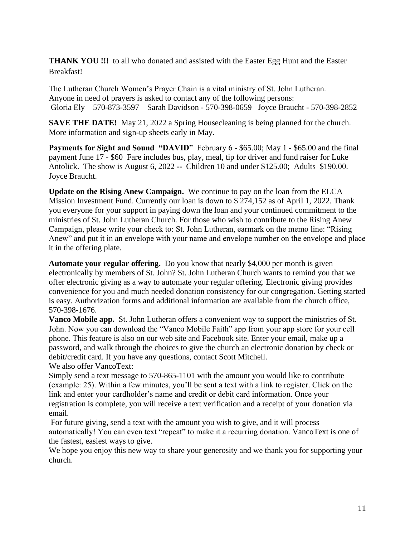**THANK YOU !!!** to all who donated and assisted with the Easter Egg Hunt and the Easter Breakfast!

The Lutheran Church Women's Prayer Chain is a vital ministry of St. John Lutheran. Anyone in need of prayers is asked to contact any of the following persons: Gloria Ely – 570-873-3597 Sarah Davidson - 570-398-0659 Joyce Braucht - 570-398-2852

**SAVE THE DATE!** May 21, 2022 a Spring Housecleaning is being planned for the church. More information and sign-up sheets early in May.

**Payments for Sight and Sound "DAVID"** February 6 - \$65.00; May 1 - \$65.00 and the final payment June 17 - \$60 Fare includes bus, play, meal, tip for driver and fund raiser for Luke Antolick. The show is August 6, 2022 **--** Children 10 and under \$125.00; Adults \$190.00. Joyce Braucht.

**Update on the Rising Anew Campaign.** We continue to pay on the loan from the ELCA Mission Investment Fund. Currently our loan is down to \$ 274,152 as of April 1, 2022. Thank you everyone for your support in paying down the loan and your continued commitment to the ministries of St. John Lutheran Church. For those who wish to contribute to the Rising Anew Campaign, please write your check to: St. John Lutheran, earmark on the memo line: "Rising Anew" and put it in an envelope with your name and envelope number on the envelope and place it in the offering plate.

**Automate your regular offering.** Do you know that nearly \$4,000 per month is given electronically by members of St. John? St. John Lutheran Church wants to remind you that we offer electronic giving as a way to automate your regular offering. Electronic giving provides convenience for you and much needed donation consistency for our congregation. Getting started is easy. Authorization forms and additional information are available from the church office, 570-398-1676.

**Vanco Mobile app.** St. John Lutheran offers a convenient way to support the ministries of St. John. Now you can download the "Vanco Mobile Faith" app from your app store for your cell phone. This feature is also on our web site and Facebook site. Enter your email, make up a password, and walk through the choices to give the church an electronic donation by check or debit/credit card. If you have any questions, contact Scott Mitchell.

We also offer VancoText:

Simply send a text message to 570-865-1101 with the amount you would like to contribute (example: 25). Within a few minutes, you'll be sent a text with a link to register. Click on the link and enter your cardholder's name and credit or debit card information. Once your registration is complete, you will receive a text verification and a receipt of your donation via email.

For future giving, send a text with the amount you wish to give, and it will process automatically! You can even text "repeat" to make it a recurring donation. VancoText is one of the fastest, easiest ways to give.

We hope you enjoy this new way to share your generosity and we thank you for supporting your church.